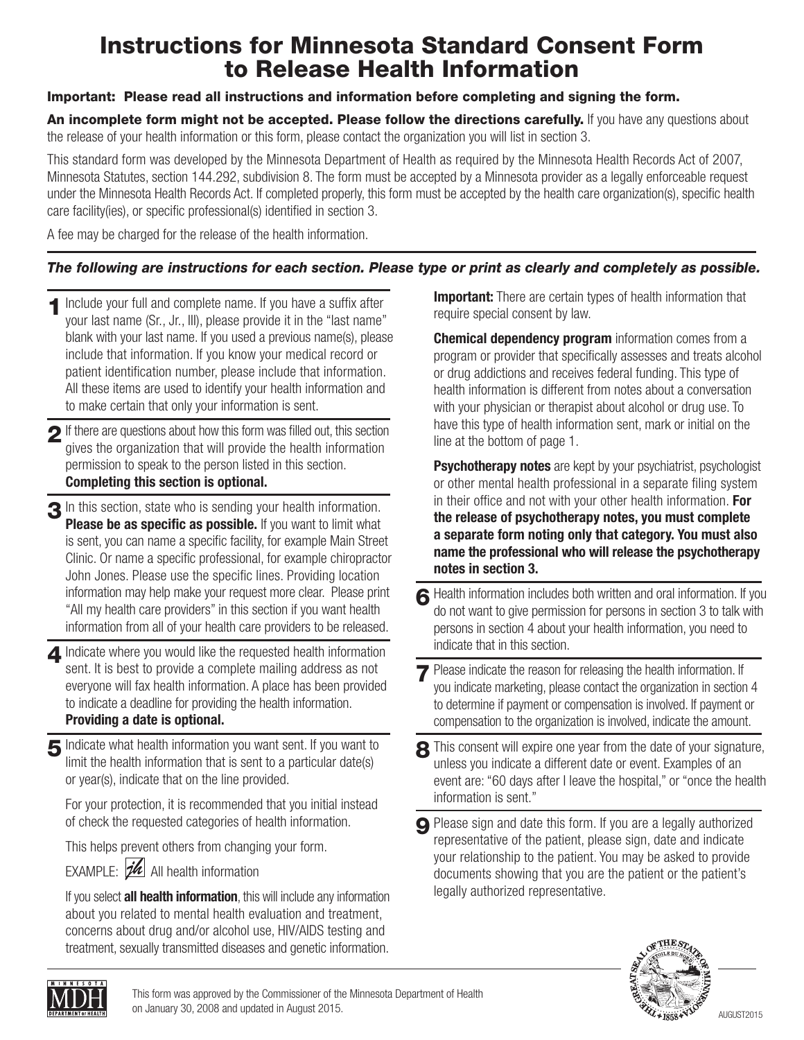# Instructions for Minnesota Standard Consent Form to Release Health Information

#### Important: Please read all instructions and information before completing and signing the form.

An incomplete form might not be accepted. Please follow the directions carefully. If you have any questions about the release of your health information or this form, please contact the organization you will list in section 3.

This standard form was developed by the Minnesota Department of Health as required by the Minnesota Health Records Act of 2007, Minnesota Statutes, section 144.292, subdivision 8. The form must be accepted by a Minnesota provider as a legally enforceable request under the Minnesota Health Records Act. If completed properly, this form must be accepted by the health care organization(s), specific health care facility(ies), or specific professional(s) identified in section 3.

A fee may be charged for the release of the health information.

## *The following are instructions for each section. Please type or print as clearly and completely as possible.*

- 1 Include your full and complete name. If you have a suffix after your last name (Sr., Jr., III), please provide it in the "last name" blank with your last name. If you used a previous name(s), please include that information. If you know your medical record or patient identification number, please include that information. All these items are used to identify your health information and to make certain that only your information is sent.
- 2 If there are questions about how this form was filled out, this section gives the organization that will provide the health information permission to speak to the person listed in this section. **Completing this section is optional.**
- 3 In this section, state who is sending your health information. **Please be as specific as possible.** If you want to limit what is sent, you can name a specific facility, for example Main Street Clinic. Or name a specific professional, for example chiropractor John Jones. Please use the specific lines. Providing location information may help make your request more clear. Please print "All my health care providers" in this section if you want health information from all of your health care providers to be released.
- **4** Indicate where you would like the requested health information sent. It is best to provide a complete mailing address as not everyone will fax health information. A place has been provided to indicate a deadline for providing the health information. **Providing a date is optional.**
- 5 Indicate what health information you want sent. If you want to limit the health information that is sent to a particular date(s) or year(s), indicate that on the line provided.

 For your protection, it is recommended that you initial instead of check the requested categories of health information.

This helps prevent others from changing your form.

EXAMPLE:  $\mathbb{Z}$  All health information

 If you select **all health information**, this will include any information about you related to mental health evaluation and treatment, concerns about drug and/or alcohol use, HIV/AIDS testing and treatment, sexually transmitted diseases and genetic information.

**Important:** There are certain types of health information that require special consent by law.

 **Chemical dependency program** information comes from a program or provider that specifically assesses and treats alcohol or drug addictions and receives federal funding. This type of health information is different from notes about a conversation with your physician or therapist about alcohol or drug use. To have this type of health information sent, mark or initial on the line at the bottom of page 1.

**Psychotherapy notes** are kept by your psychiatrist, psychologist or other mental health professional in a separate filing system in their office and not with your other health information. **For the release of psychotherapy notes, you must complete a separate form noting only that category. You must also name the professional who will release the psychotherapy notes in section 3.**

- 6 Health information includes both written and oral information. If you do not want to give permission for persons in section 3 to talk with persons in section 4 about your health information, you need to indicate that in this section.
- **7** Please indicate the reason for releasing the health information. If you indicate marketing, please contact the organization in section 4 to determine if payment or compensation is involved. If payment or compensation to the organization is involved, indicate the amount.
- 8 This consent will expire one year from the date of your signature, unless you indicate a different date or event. Examples of an event are: "60 days after I leave the hospital," or "once the health information is sent."
- 9 Please sign and date this form. If you are a legally authorized representative of the patient, please sign, date and indicate your relationship to the patient. You may be asked to provide documents showing that you are the patient or the patient's legally authorized representative.



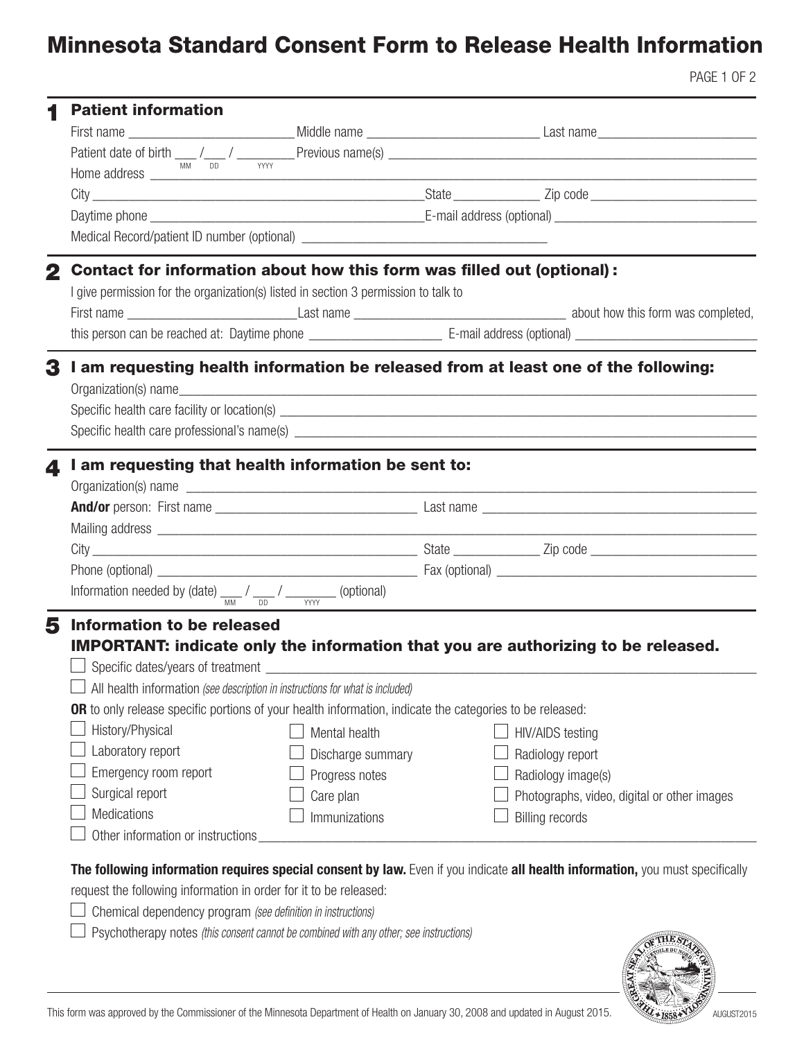# Minnesota Standard Consent Form to Release Health Information

PAGE 1 OF 2

| <b>Patient information</b>                                                            |                                                                                                                                                               |                                                                                                                 |  | Patient date of birth $\frac{1}{\text{mm}}$ / $\frac{1}{\text{mm}}$ / $\frac{1}{\text{mm}}$ Previous name(s) $\frac{1}{\text{mm}}$ |                                             |  |  |  |  |  |  |
|---------------------------------------------------------------------------------------|---------------------------------------------------------------------------------------------------------------------------------------------------------------|-----------------------------------------------------------------------------------------------------------------|--|------------------------------------------------------------------------------------------------------------------------------------|---------------------------------------------|--|--|--|--|--|--|
|                                                                                       |                                                                                                                                                               |                                                                                                                 |  |                                                                                                                                    |                                             |  |  |  |  |  |  |
|                                                                                       |                                                                                                                                                               |                                                                                                                 |  |                                                                                                                                    |                                             |  |  |  |  |  |  |
|                                                                                       |                                                                                                                                                               |                                                                                                                 |  |                                                                                                                                    |                                             |  |  |  |  |  |  |
|                                                                                       | Contact for information about how this form was filled out (optional):<br>I give permission for the organization(s) listed in section 3 permission to talk to |                                                                                                                 |  |                                                                                                                                    |                                             |  |  |  |  |  |  |
|                                                                                       |                                                                                                                                                               |                                                                                                                 |  |                                                                                                                                    |                                             |  |  |  |  |  |  |
|                                                                                       |                                                                                                                                                               |                                                                                                                 |  |                                                                                                                                    |                                             |  |  |  |  |  |  |
| 3                                                                                     |                                                                                                                                                               | Organization(s) name                                                                                            |  | I am requesting health information be released from at least one of the following:                                                 |                                             |  |  |  |  |  |  |
| 4                                                                                     |                                                                                                                                                               | I am requesting that health information be sent to:                                                             |  |                                                                                                                                    |                                             |  |  |  |  |  |  |
|                                                                                       |                                                                                                                                                               | Organization(s) name                                                                                            |  |                                                                                                                                    |                                             |  |  |  |  |  |  |
|                                                                                       |                                                                                                                                                               |                                                                                                                 |  |                                                                                                                                    |                                             |  |  |  |  |  |  |
|                                                                                       |                                                                                                                                                               |                                                                                                                 |  |                                                                                                                                    |                                             |  |  |  |  |  |  |
|                                                                                       |                                                                                                                                                               |                                                                                                                 |  |                                                                                                                                    |                                             |  |  |  |  |  |  |
|                                                                                       |                                                                                                                                                               |                                                                                                                 |  |                                                                                                                                    |                                             |  |  |  |  |  |  |
| Information needed by (date) $\frac{1}{M}$ / $\frac{1}{M}$ / $\frac{1}{M}$ (optional) |                                                                                                                                                               |                                                                                                                 |  |                                                                                                                                    |                                             |  |  |  |  |  |  |
| 5<br>Information to be released                                                       |                                                                                                                                                               | All health information (see description in instructions for what is included)                                   |  | IMPORTANT: indicate only the information that you are authorizing to be released.                                                  |                                             |  |  |  |  |  |  |
|                                                                                       |                                                                                                                                                               | <b>OR</b> to only release specific portions of your health information, indicate the categories to be released: |  |                                                                                                                                    |                                             |  |  |  |  |  |  |
| History/Physical                                                                      |                                                                                                                                                               | Mental health                                                                                                   |  | <b>HIV/AIDS testing</b>                                                                                                            |                                             |  |  |  |  |  |  |
| Laboratory report                                                                     |                                                                                                                                                               | Discharge summary                                                                                               |  | Radiology report                                                                                                                   |                                             |  |  |  |  |  |  |
| Emergency room report                                                                 |                                                                                                                                                               | Progress notes                                                                                                  |  | Radiology image(s)                                                                                                                 |                                             |  |  |  |  |  |  |
| Surgical report                                                                       |                                                                                                                                                               | Care plan                                                                                                       |  |                                                                                                                                    | Photographs, video, digital or other images |  |  |  |  |  |  |
| Medications                                                                           |                                                                                                                                                               | Immunizations                                                                                                   |  | <b>Billing records</b>                                                                                                             |                                             |  |  |  |  |  |  |
| Other information or instructions                                                     |                                                                                                                                                               |                                                                                                                 |  |                                                                                                                                    |                                             |  |  |  |  |  |  |
| request the following information in order for it to be released:                     | Chemical dependency program (see definition in instructions)                                                                                                  | Psychotherapy notes (this consent cannot be combined with any other; see instructions)                          |  | The following information requires special consent by law. Even if you indicate all health information, you must specifically      |                                             |  |  |  |  |  |  |



This form was approved by the Commissioner of the Minnesota Department of Health on January 30, 2008 and updated in August 2015.